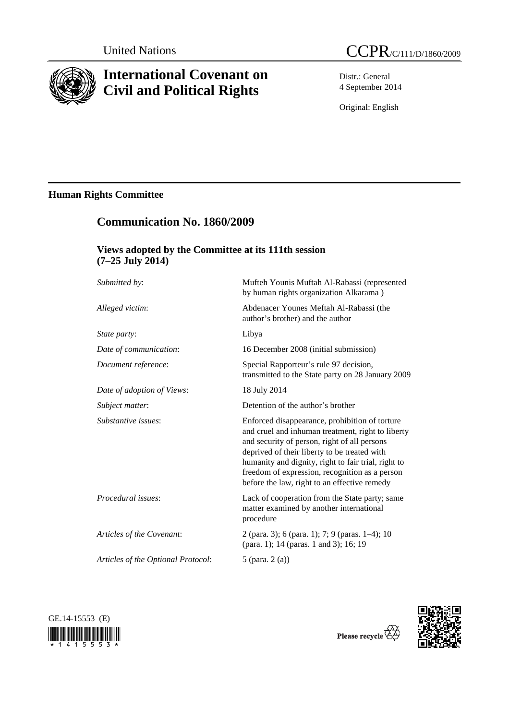

# **International Covenant on Civil and Political Rights**

 **Communication No. 1860/2009** 

 **Views adopted by the Committee at its 111th session** 

Distr.: General 4 September 2014

Original: English

# **Human Rights Committee**

| $(7-25$ July 2014)                 |                                                                                                                                                                                                                                                                                                                                                              |
|------------------------------------|--------------------------------------------------------------------------------------------------------------------------------------------------------------------------------------------------------------------------------------------------------------------------------------------------------------------------------------------------------------|
| Submitted by:                      | Mufteh Younis Muftah Al-Rabassi (represented<br>by human rights organization Alkarama)                                                                                                                                                                                                                                                                       |
| Alleged victim:                    | Abdenacer Younes Meftah Al-Rabassi (the<br>author's brother) and the author                                                                                                                                                                                                                                                                                  |
| State party:                       | Libya                                                                                                                                                                                                                                                                                                                                                        |
| Date of communication:             | 16 December 2008 (initial submission)                                                                                                                                                                                                                                                                                                                        |
| Document reference:                | Special Rapporteur's rule 97 decision,<br>transmitted to the State party on 28 January 2009                                                                                                                                                                                                                                                                  |
| Date of adoption of Views:         | 18 July 2014                                                                                                                                                                                                                                                                                                                                                 |
| Subject matter:                    | Detention of the author's brother                                                                                                                                                                                                                                                                                                                            |
| Substantive issues:                | Enforced disappearance, prohibition of torture<br>and cruel and inhuman treatment, right to liberty<br>and security of person, right of all persons<br>deprived of their liberty to be treated with<br>humanity and dignity, right to fair trial, right to<br>freedom of expression, recognition as a person<br>before the law, right to an effective remedy |
| Procedural issues:                 | Lack of cooperation from the State party; same<br>matter examined by another international<br>procedure                                                                                                                                                                                                                                                      |
| Articles of the Covenant:          | 2 (para. 3); 6 (para. 1); 7; 9 (paras. 1–4); 10<br>(para. 1); 14 (paras. 1 and 3); 16; 19                                                                                                                                                                                                                                                                    |
| Articles of the Optional Protocol: | 5 (para. $2(a)$ )                                                                                                                                                                                                                                                                                                                                            |
|                                    |                                                                                                                                                                                                                                                                                                                                                              |



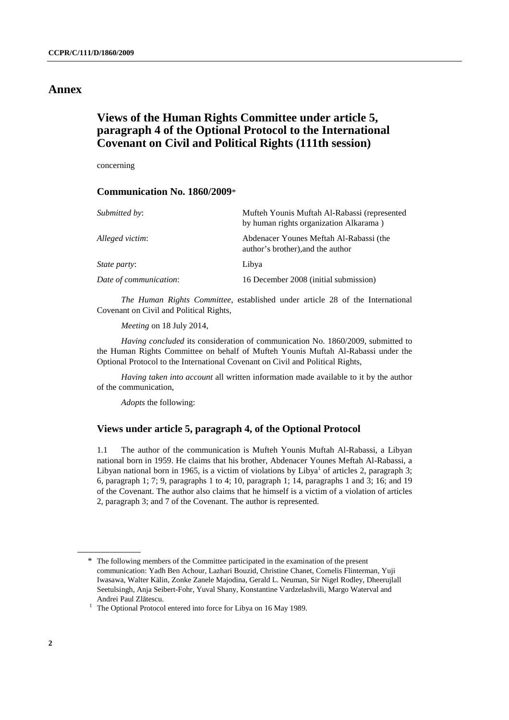# **Annex**

# **Views of the Human Rights Committee under article 5, paragraph 4 of the Optional Protocol to the International Covenant on Civil and Political Rights (111th session)**

concerning

## **Communication No. 1860/2009**\*

| <i>Submitted by:</i>   | Mufteh Younis Muftah Al-Rabassi (represented<br>by human rights organization Alkarama) |
|------------------------|----------------------------------------------------------------------------------------|
| Alleged victim:        | Abdenacer Younes Meftah Al-Rabassi (the<br>author's brother), and the author           |
| <i>State party:</i>    | Libya                                                                                  |
| Date of communication: | 16 December 2008 (initial submission)                                                  |

*The Human Rights Committee*, established under article 28 of the International Covenant on Civil and Political Rights,

*Meeting* on 18 July 2014,

*Having concluded* its consideration of communication No. 1860/2009, submitted to the Human Rights Committee on behalf of Mufteh Younis Muftah Al-Rabassi under the Optional Protocol to the International Covenant on Civil and Political Rights,

*Having taken into account* all written information made available to it by the author of the communication,

*Adopts* the following:

### **Views under article 5, paragraph 4, of the Optional Protocol**

1.1 The author of the communication is Mufteh Younis Muftah Al-Rabassi, a Libyan national born in 1959. He claims that his brother, Abdenacer Younes Meftah Al-Rabassi, a Libyan national born in 1965, is a victim of violations by Libya<sup>1</sup> of articles 2, paragraph 3; 6, paragraph 1; 7; 9, paragraphs 1 to 4; 10, paragraph 1; 14, paragraphs 1 and 3; 16; and 19 of the Covenant. The author also claims that he himself is a victim of a violation of articles 2, paragraph 3; and 7 of the Covenant. The author is represented.

 <sup>\*</sup> The following members of the Committee participated in the examination of the present communication: Yadh Ben Achour, Lazhari Bouzid, Christine Chanet, Cornelis Flinterman, Yuji Iwasawa, Walter Kälin, Zonke Zanele Majodina, Gerald L. Neuman, Sir Nigel Rodley, Dheerujlall Seetulsingh, Anja Seibert-Fohr, Yuval Shany, Konstantine Vardzelashvili, Margo Waterval and Andrei Paul Zl<sup>ă</sup>tescu. 1

 $1$  The Optional Protocol entered into force for Libya on 16 May 1989.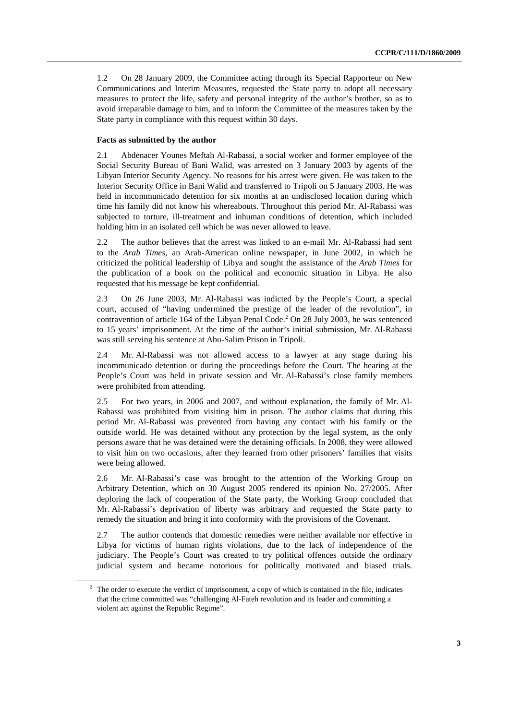1.2 On 28 January 2009, the Committee acting through its Special Rapporteur on New Communications and Interim Measures, requested the State party to adopt all necessary measures to protect the life, safety and personal integrity of the author's brother, so as to avoid irreparable damage to him, and to inform the Committee of the measures taken by the State party in compliance with this request within 30 days.

### **Facts as submitted by the author**

2.1 Abdenacer Younes Meftah Al-Rabassi, a social worker and former employee of the Social Security Bureau of Bani Walid, was arrested on 3 January 2003 by agents of the Libyan Interior Security Agency. No reasons for his arrest were given. He was taken to the Interior Security Office in Bani Walid and transferred to Tripoli on 5 January 2003. He was held in incommunicado detention for six months at an undisclosed location during which time his family did not know his whereabouts. Throughout this period Mr. Al-Rabassi was subjected to torture, ill-treatment and inhuman conditions of detention, which included holding him in an isolated cell which he was never allowed to leave.

2.2 The author believes that the arrest was linked to an e-mail Mr. Al-Rabassi had sent to the *Arab Times*, an Arab-American online newspaper, in June 2002, in which he criticized the political leadership of Libya and sought the assistance of the *Arab Times* for the publication of a book on the political and economic situation in Libya. He also requested that his message be kept confidential.

2.3 On 26 June 2003, Mr. Al-Rabassi was indicted by the People's Court, a special court, accused of "having undermined the prestige of the leader of the revolution", in contravention of article 164 of the Libyan Penal Code. $^2$  On 28 July 2003, he was sentenced to 15 years' imprisonment. At the time of the author's initial submission, Mr. Al-Rabassi was still serving his sentence at Abu-Salim Prison in Tripoli.

2.4 Mr. Al-Rabassi was not allowed access to a lawyer at any stage during his incommunicado detention or during the proceedings before the Court. The hearing at the People's Court was held in private session and Mr. Al-Rabassi's close family members were prohibited from attending.

2.5 For two years, in 2006 and 2007, and without explanation, the family of Mr. Al-Rabassi was prohibited from visiting him in prison. The author claims that during this period Mr. Al-Rabassi was prevented from having any contact with his family or the outside world. He was detained without any protection by the legal system, as the only persons aware that he was detained were the detaining officials. In 2008, they were allowed to visit him on two occasions, after they learned from other prisoners' families that visits were being allowed.

2.6 Mr. Al-Rabassi's case was brought to the attention of the Working Group on Arbitrary Detention, which on 30 August 2005 rendered its opinion No. 27/2005. After deploring the lack of cooperation of the State party, the Working Group concluded that Mr. Al-Rabassi's deprivation of liberty was arbitrary and requested the State party to remedy the situation and bring it into conformity with the provisions of the Covenant.

2.7 The author contends that domestic remedies were neither available nor effective in Libya for victims of human rights violations, due to the lack of independence of the judiciary. The People's Court was created to try political offences outside the ordinary judicial system and became notorious for politically motivated and biased trials.

 $2$  The order to execute the verdict of imprisonment, a copy of which is contained in the file, indicates that the crime committed was "challenging Al-Fateh revolution and its leader and committing a violent act against the Republic Regime".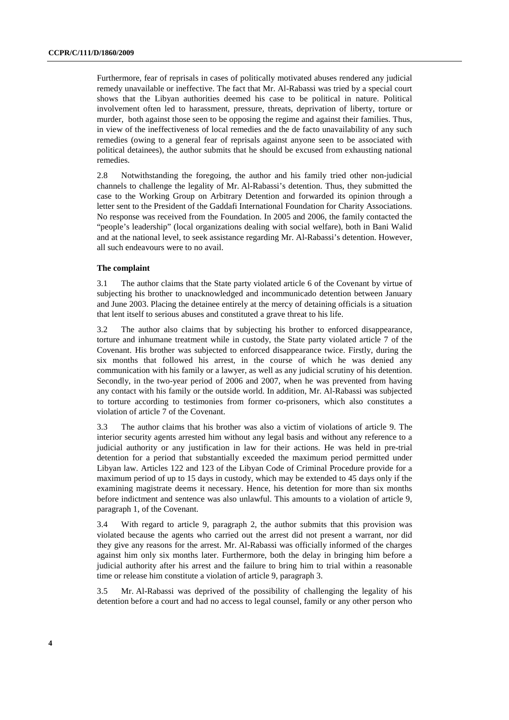Furthermore, fear of reprisals in cases of politically motivated abuses rendered any judicial remedy unavailable or ineffective. The fact that Mr. Al-Rabassi was tried by a special court shows that the Libyan authorities deemed his case to be political in nature. Political involvement often led to harassment, pressure, threats, deprivation of liberty, torture or murder, both against those seen to be opposing the regime and against their families. Thus, in view of the ineffectiveness of local remedies and the de facto unavailability of any such remedies (owing to a general fear of reprisals against anyone seen to be associated with political detainees), the author submits that he should be excused from exhausting national remedies.

2.8 Notwithstanding the foregoing, the author and his family tried other non-judicial channels to challenge the legality of Mr. Al-Rabassi's detention. Thus, they submitted the case to the Working Group on Arbitrary Detention and forwarded its opinion through a letter sent to the President of the Gaddafi International Foundation for Charity Associations. No response was received from the Foundation. In 2005 and 2006, the family contacted the "people's leadership" (local organizations dealing with social welfare), both in Bani Walid and at the national level, to seek assistance regarding Mr. Al-Rabassi's detention. However, all such endeavours were to no avail.

#### **The complaint**

3.1 The author claims that the State party violated article 6 of the Covenant by virtue of subjecting his brother to unacknowledged and incommunicado detention between January and June 2003. Placing the detainee entirely at the mercy of detaining officials is a situation that lent itself to serious abuses and constituted a grave threat to his life.

3.2 The author also claims that by subjecting his brother to enforced disappearance, torture and inhumane treatment while in custody, the State party violated article 7 of the Covenant. His brother was subjected to enforced disappearance twice. Firstly, during the six months that followed his arrest, in the course of which he was denied any communication with his family or a lawyer, as well as any judicial scrutiny of his detention. Secondly, in the two-year period of 2006 and 2007, when he was prevented from having any contact with his family or the outside world. In addition, Mr. Al-Rabassi was subjected to torture according to testimonies from former co-prisoners, which also constitutes a violation of article 7 of the Covenant.

3.3 The author claims that his brother was also a victim of violations of article 9. The interior security agents arrested him without any legal basis and without any reference to a judicial authority or any justification in law for their actions. He was held in pre-trial detention for a period that substantially exceeded the maximum period permitted under Libyan law. Articles 122 and 123 of the Libyan Code of Criminal Procedure provide for a maximum period of up to 15 days in custody, which may be extended to 45 days only if the examining magistrate deems it necessary. Hence, his detention for more than six months before indictment and sentence was also unlawful. This amounts to a violation of article 9, paragraph 1, of the Covenant.

3.4 With regard to article 9, paragraph 2, the author submits that this provision was violated because the agents who carried out the arrest did not present a warrant, nor did they give any reasons for the arrest. Mr. Al-Rabassi was officially informed of the charges against him only six months later. Furthermore, both the delay in bringing him before a judicial authority after his arrest and the failure to bring him to trial within a reasonable time or release him constitute a violation of article 9, paragraph 3.

3.5 Mr. Al-Rabassi was deprived of the possibility of challenging the legality of his detention before a court and had no access to legal counsel, family or any other person who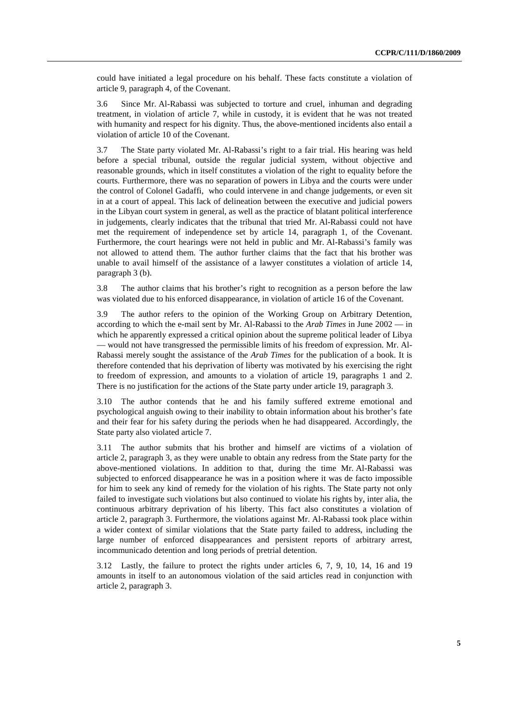could have initiated a legal procedure on his behalf. These facts constitute a violation of article 9, paragraph 4, of the Covenant.

3.6 Since Mr. Al-Rabassi was subjected to torture and cruel, inhuman and degrading treatment, in violation of article 7, while in custody, it is evident that he was not treated with humanity and respect for his dignity. Thus, the above-mentioned incidents also entail a violation of article 10 of the Covenant.

3.7 The State party violated Mr. Al-Rabassi's right to a fair trial. His hearing was held before a special tribunal, outside the regular judicial system, without objective and reasonable grounds, which in itself constitutes a violation of the right to equality before the courts. Furthermore, there was no separation of powers in Libya and the courts were under the control of Colonel Gadaffi, who could intervene in and change judgements, or even sit in at a court of appeal. This lack of delineation between the executive and judicial powers in the Libyan court system in general, as well as the practice of blatant political interference in judgements, clearly indicates that the tribunal that tried Mr. Al-Rabassi could not have met the requirement of independence set by article 14, paragraph 1, of the Covenant. Furthermore, the court hearings were not held in public and Mr. Al-Rabassi's family was not allowed to attend them. The author further claims that the fact that his brother was unable to avail himself of the assistance of a lawyer constitutes a violation of article 14, paragraph 3 (b).

3.8 The author claims that his brother's right to recognition as a person before the law was violated due to his enforced disappearance, in violation of article 16 of the Covenant.

3.9 The author refers to the opinion of the Working Group on Arbitrary Detention, according to which the e-mail sent by Mr. Al-Rabassi to the *Arab Times* in June 2002 — in which he apparently expressed a critical opinion about the supreme political leader of Libya — would not have transgressed the permissible limits of his freedom of expression. Mr. Al-Rabassi merely sought the assistance of the *Arab Times* for the publication of a book. It is therefore contended that his deprivation of liberty was motivated by his exercising the right to freedom of expression, and amounts to a violation of article 19, paragraphs 1 and 2. There is no justification for the actions of the State party under article 19, paragraph 3.

3.10 The author contends that he and his family suffered extreme emotional and psychological anguish owing to their inability to obtain information about his brother's fate and their fear for his safety during the periods when he had disappeared. Accordingly, the State party also violated article 7.

3.11 The author submits that his brother and himself are victims of a violation of article 2, paragraph 3, as they were unable to obtain any redress from the State party for the above-mentioned violations. In addition to that, during the time Mr. Al-Rabassi was subjected to enforced disappearance he was in a position where it was de facto impossible for him to seek any kind of remedy for the violation of his rights. The State party not only failed to investigate such violations but also continued to violate his rights by, inter alia, the continuous arbitrary deprivation of his liberty. This fact also constitutes a violation of article 2, paragraph 3. Furthermore, the violations against Mr. Al-Rabassi took place within a wider context of similar violations that the State party failed to address, including the large number of enforced disappearances and persistent reports of arbitrary arrest, incommunicado detention and long periods of pretrial detention.

3.12 Lastly, the failure to protect the rights under articles 6, 7, 9, 10, 14, 16 and 19 amounts in itself to an autonomous violation of the said articles read in conjunction with article 2, paragraph 3.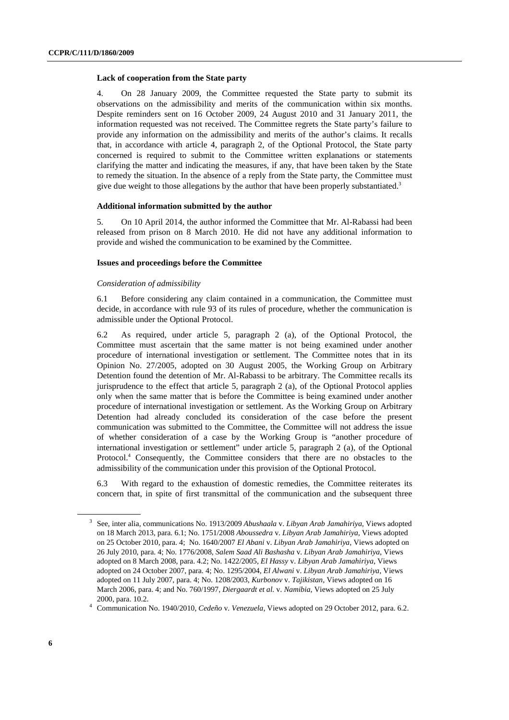#### **Lack of cooperation from the State party**

4. On 28 January 2009, the Committee requested the State party to submit its observations on the admissibility and merits of the communication within six months. Despite reminders sent on 16 October 2009, 24 August 2010 and 31 January 2011, the information requested was not received. The Committee regrets the State party's failure to provide any information on the admissibility and merits of the author's claims. It recalls that, in accordance with article 4, paragraph 2, of the Optional Protocol, the State party concerned is required to submit to the Committee written explanations or statements clarifying the matter and indicating the measures, if any, that have been taken by the State to remedy the situation. In the absence of a reply from the State party, the Committee must give due weight to those allegations by the author that have been properly substantiated.<sup>3</sup>

#### **Additional information submitted by the author**

5. On 10 April 2014, the author informed the Committee that Mr. Al-Rabassi had been released from prison on 8 March 2010. He did not have any additional information to provide and wished the communication to be examined by the Committee.

#### **Issues and proceedings before the Committee**

#### *Consideration of admissibility*

6.1 Before considering any claim contained in a communication, the Committee must decide, in accordance with rule 93 of its rules of procedure, whether the communication is admissible under the Optional Protocol.

6.2 As required, under article 5, paragraph 2 (a), of the Optional Protocol, the Committee must ascertain that the same matter is not being examined under another procedure of international investigation or settlement. The Committee notes that in its Opinion No. 27/2005, adopted on 30 August 2005, the Working Group on Arbitrary Detention found the detention of Mr. Al-Rabassi to be arbitrary. The Committee recalls its jurisprudence to the effect that article 5, paragraph 2 (a), of the Optional Protocol applies only when the same matter that is before the Committee is being examined under another procedure of international investigation or settlement. As the Working Group on Arbitrary Detention had already concluded its consideration of the case before the present communication was submitted to the Committee, the Committee will not address the issue of whether consideration of a case by the Working Group is "another procedure of international investigation or settlement" under article 5, paragraph 2 (a), of the Optional Protocol.<sup>4</sup> Consequently, the Committee considers that there are no obstacles to the admissibility of the communication under this provision of the Optional Protocol.

6.3 With regard to the exhaustion of domestic remedies, the Committee reiterates its concern that, in spite of first transmittal of the communication and the subsequent three

<sup>3</sup> See, inter alia, communications No. 1913/2009 *Abushaala* v. *Libyan Arab Jamahiriya*, Views adopted on 18 March 2013, para. 6.1; No. 1751/2008 *Aboussedra* v. *Libyan Arab Jamahiriya*, Views adopted on 25 October 2010, para. 4; No. 1640/2007 *El Abani* v. *Libyan Arab Jamahiriya*, Views adopted on 26 July 2010, para. 4; No. 1776/2008, *Salem Saad Ali Bashasha* v*. Libyan Arab Jamahiriya*, Views adopted on 8 March 2008, para. 4.2; No. 1422/2005, *El Hassy* v. *Libyan Arab Jamahiriya*, Views adopted on 24 October 2007, para. 4; No. 1295/2004, *El Alwani* v. *Libyan Arab Jamahiriya*, Views adopted on 11 July 2007, para. 4; No. 1208/2003, *Kurbonov* v. *Tajikistan*, Views adopted on 16 March 2006, para. 4; and No. 760/1997, *Diergaardt et al.* v. *Namibia*, Views adopted on 25 July 2000, para. 10.2. 4

Communication No. 1940/2010, *Cedeño* v*. Venezuela*, Views adopted on 29 October 2012, para. 6.2.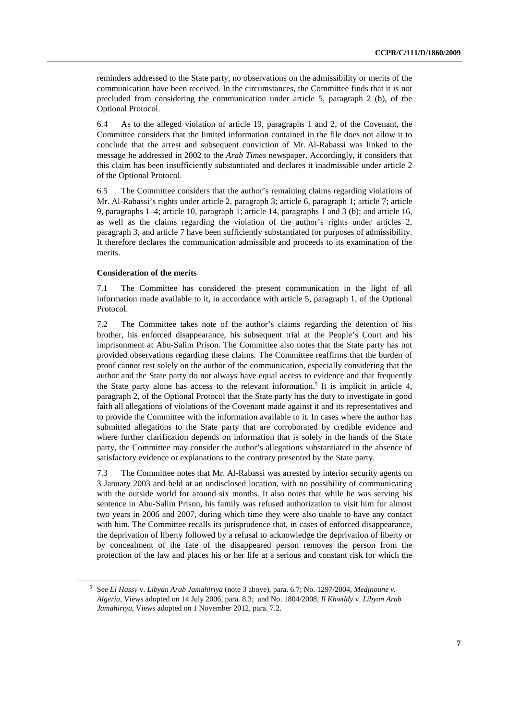reminders addressed to the State party, no observations on the admissibility or merits of the communication have been received. In the circumstances, the Committee finds that it is not precluded from considering the communication under article 5, paragraph 2 (b), of the Optional Protocol.

6.4 As to the alleged violation of article 19, paragraphs 1 and 2, of the Covenant, the Committee considers that the limited information contained in the file does not allow it to conclude that the arrest and subsequent conviction of Mr. Al-Rabassi was linked to the message he addressed in 2002 to the *Arab Times* newspaper. Accordingly, it considers that this claim has been insufficiently substantiated and declares it inadmissible under article 2 of the Optional Protocol.

6.5 The Committee considers that the author's remaining claims regarding violations of Mr. Al-Rabassi's rights under article 2, paragraph 3; article 6, paragraph 1; article 7; article 9, paragraphs 1–4; article 10, paragraph 1; article 14, paragraphs 1 and 3 (b); and article 16, as well as the claims regarding the violation of the author's rights under articles 2, paragraph 3, and article 7 have been sufficiently substantiated for purposes of admissibility. It therefore declares the communication admissible and proceeds to its examination of the merits.

#### **Consideration of the merits**

7.1 The Committee has considered the present communication in the light of all information made available to it, in accordance with article 5, paragraph 1, of the Optional Protocol.

7.2 The Committee takes note of the author's claims regarding the detention of his brother, his enforced disappearance, his subsequent trial at the People's Court and his imprisonment at Abu-Salim Prison. The Committee also notes that the State party has not provided observations regarding these claims. The Committee reaffirms that the burden of proof cannot rest solely on the author of the communication, especially considering that the author and the State party do not always have equal access to evidence and that frequently the State party alone has access to the relevant information.<sup>5</sup> It is implicit in article 4, paragraph 2, of the Optional Protocol that the State party has the duty to investigate in good faith all allegations of violations of the Covenant made against it and its representatives and to provide the Committee with the information available to it. In cases where the author has submitted allegations to the State party that are corroborated by credible evidence and where further clarification depends on information that is solely in the hands of the State party, the Committee may consider the author's allegations substantiated in the absence of satisfactory evidence or explanations to the contrary presented by the State party.

7.3 The Committee notes that Mr. Al-Rabassi was arrested by interior security agents on 3 January 2003 and held at an undisclosed location, with no possibility of communicating with the outside world for around six months. It also notes that while he was serving his sentence in Abu-Salim Prison, his family was refused authorization to visit him for almost two years in 2006 and 2007, during which time they were also unable to have any contact with him. The Committee recalls its jurisprudence that, in cases of enforced disappearance, the deprivation of liberty followed by a refusal to acknowledge the deprivation of liberty or by concealment of the fate of the disappeared person removes the person from the protection of the law and places his or her life at a serious and constant risk for which the

<sup>5</sup> See *El Hassy* v. *Libyan Arab Jamahiriya* (note 3 above), para. 6.7; No. 1297/2004, *Medjnoune v. Algeria*, Views adopted on 14 July 2006, para. 8.3; and No. 1804/2008, *Il Khwildy* v. *Libyan Arab Jamahiriya*, Views adopted on 1 November 2012, para. 7.2.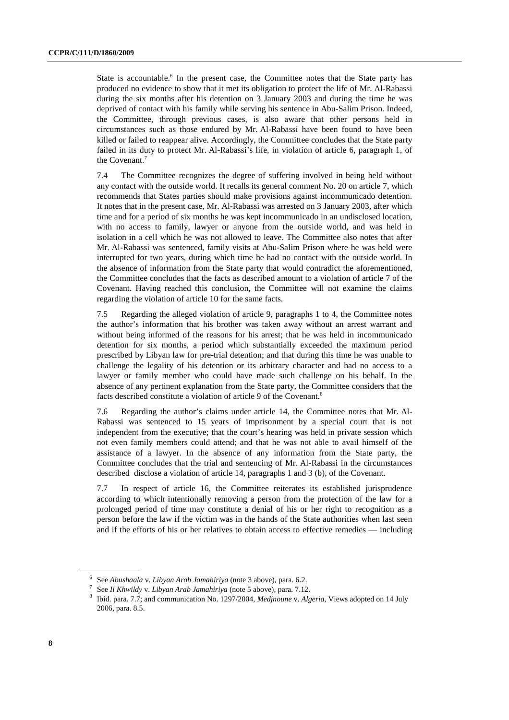State is accountable.<sup>6</sup> In the present case, the Committee notes that the State party has produced no evidence to show that it met its obligation to protect the life of Mr. Al-Rabassi during the six months after his detention on 3 January 2003 and during the time he was deprived of contact with his family while serving his sentence in Abu-Salim Prison. Indeed, the Committee, through previous cases, is also aware that other persons held in circumstances such as those endured by Mr. Al-Rabassi have been found to have been killed or failed to reappear alive. Accordingly, the Committee concludes that the State party failed in its duty to protect Mr. Al-Rabassi's life, in violation of article 6, paragraph 1, of the Covenant.<sup>7</sup>

7.4 The Committee recognizes the degree of suffering involved in being held without any contact with the outside world. It recalls its general comment No. 20 on article 7, which recommends that States parties should make provisions against incommunicado detention. It notes that in the present case, Mr. Al-Rabassi was arrested on 3 January 2003, after which time and for a period of six months he was kept incommunicado in an undisclosed location, with no access to family, lawyer or anyone from the outside world, and was held in isolation in a cell which he was not allowed to leave. The Committee also notes that after Mr. Al-Rabassi was sentenced, family visits at Abu-Salim Prison where he was held were interrupted for two years, during which time he had no contact with the outside world. In the absence of information from the State party that would contradict the aforementioned, the Committee concludes that the facts as described amount to a violation of article 7 of the Covenant. Having reached this conclusion, the Committee will not examine the claims regarding the violation of article 10 for the same facts.

7.5 Regarding the alleged violation of article 9, paragraphs 1 to 4, the Committee notes the author's information that his brother was taken away without an arrest warrant and without being informed of the reasons for his arrest; that he was held in incommunicado detention for six months, a period which substantially exceeded the maximum period prescribed by Libyan law for pre-trial detention; and that during this time he was unable to challenge the legality of his detention or its arbitrary character and had no access to a lawyer or family member who could have made such challenge on his behalf. In the absence of any pertinent explanation from the State party, the Committee considers that the facts described constitute a violation of article 9 of the Covenant.<sup>8</sup>

7.6 Regarding the author's claims under article 14, the Committee notes that Mr. Al-Rabassi was sentenced to 15 years of imprisonment by a special court that is not independent from the executive; that the court's hearing was held in private session which not even family members could attend; and that he was not able to avail himself of the assistance of a lawyer. In the absence of any information from the State party, the Committee concludes that the trial and sentencing of Mr. Al-Rabassi in the circumstances described disclose a violation of article 14, paragraphs 1 and 3 (b), of the Covenant.

7.7 In respect of article 16, the Committee reiterates its established jurisprudence according to which intentionally removing a person from the protection of the law for a prolonged period of time may constitute a denial of his or her right to recognition as a person before the law if the victim was in the hands of the State authorities when last seen and if the efforts of his or her relatives to obtain access to effective remedies — including

<sup>&</sup>lt;sup>6</sup> See *Abushaala v. Libyan Arab Jamahiriya* (note 3 above), para. 6.2.<br><sup>7</sup> See *II Khwildwy, Libyan Arab Jamahiriya* (note 5 above), para. 7.12

See *Il Khwildy v. Libyan Arab Jamahiriya* (note 5 above), para. 7.12.

Ibid. para. 7.7; and communication No. 1297/2004, *Medjnoune* v. *Algeria*, Views adopted on 14 July 2006, para. 8.5.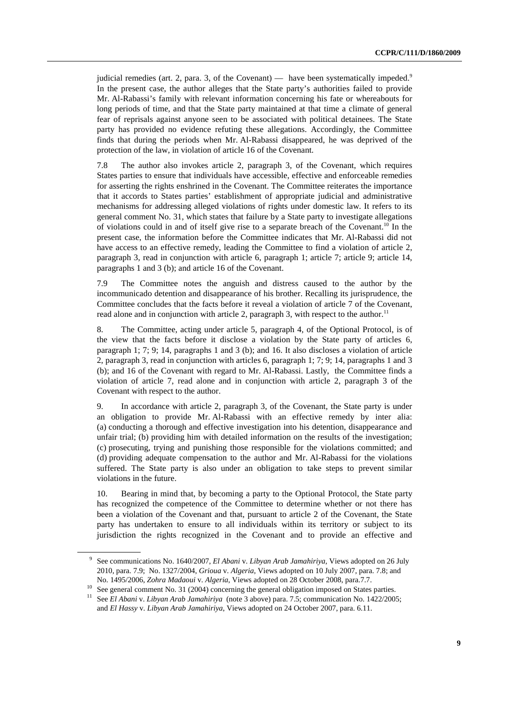judicial remedies (art. 2, para. 3, of the Covenant) — have been systematically impeded.<sup>9</sup> In the present case, the author alleges that the State party's authorities failed to provide Mr. Al-Rabassi's family with relevant information concerning his fate or whereabouts for long periods of time, and that the State party maintained at that time a climate of general fear of reprisals against anyone seen to be associated with political detainees. The State party has provided no evidence refuting these allegations. Accordingly, the Committee finds that during the periods when Mr. Al-Rabassi disappeared, he was deprived of the protection of the law, in violation of article 16 of the Covenant.

7.8 The author also invokes article 2, paragraph 3, of the Covenant, which requires States parties to ensure that individuals have accessible, effective and enforceable remedies for asserting the rights enshrined in the Covenant. The Committee reiterates the importance that it accords to States parties' establishment of appropriate judicial and administrative mechanisms for addressing alleged violations of rights under domestic law. It refers to its general comment No. 31, which states that failure by a State party to investigate allegations of violations could in and of itself give rise to a separate breach of the Covenant.<sup>10</sup> In the present case, the information before the Committee indicates that Mr. Al-Rabassi did not have access to an effective remedy, leading the Committee to find a violation of article 2. paragraph 3, read in conjunction with article 6, paragraph 1; article 7; article 9; article 14, paragraphs 1 and 3 (b); and article 16 of the Covenant.

7.9 The Committee notes the anguish and distress caused to the author by the incommunicado detention and disappearance of his brother. Recalling its jurisprudence, the Committee concludes that the facts before it reveal a violation of article 7 of the Covenant, read alone and in conjunction with article 2, paragraph 3, with respect to the author.<sup>11</sup>

8. The Committee, acting under article 5, paragraph 4, of the Optional Protocol, is of the view that the facts before it disclose a violation by the State party of articles 6, paragraph 1; 7; 9; 14, paragraphs 1 and 3 (b); and 16. It also discloses a violation of article 2, paragraph 3, read in conjunction with articles 6, paragraph 1; 7; 9; 14, paragraphs 1 and 3 (b); and 16 of the Covenant with regard to Mr. Al-Rabassi. Lastly, the Committee finds a violation of article 7, read alone and in conjunction with article 2, paragraph 3 of the Covenant with respect to the author.

9. In accordance with article 2, paragraph 3, of the Covenant, the State party is under an obligation to provide Mr. Al-Rabassi with an effective remedy by inter alia: (a) conducting a thorough and effective investigation into his detention, disappearance and unfair trial; (b) providing him with detailed information on the results of the investigation; (c) prosecuting, trying and punishing those responsible for the violations committed; and (d) providing adequate compensation to the author and Mr. Al-Rabassi for the violations suffered. The State party is also under an obligation to take steps to prevent similar violations in the future.

10. Bearing in mind that, by becoming a party to the Optional Protocol, the State party has recognized the competence of the Committee to determine whether or not there has been a violation of the Covenant and that, pursuant to article 2 of the Covenant, the State party has undertaken to ensure to all individuals within its territory or subject to its jurisdiction the rights recognized in the Covenant and to provide an effective and

<sup>9</sup> See communications No. 1640/2007, *El Abani* v. *Libyan Arab Jamahiriya*, Views adopted on 26 July 2010, para. 7.9; No. 1327/2004, *Grioua* v. *Algeria*, Views adopted on 10 July 2007, para. 7.8; and

No. 1495/2006, *Zohra Madaoui* v. *Algeria*, Views adopted on 28 October 2008, para.7.7.<br><sup>10</sup> See general comment No. 31 (2004) concerning the general obligation imposed on States parties.

<sup>11</sup> See *El Abani* v. *Libyan Arab Jamahiriya* (note 3 above) para. 7.5; communication No. 1422/2005; and *El Hassy* v. *Libyan Arab Jamahiriya*, Views adopted on 24 October 2007, para. 6.11.